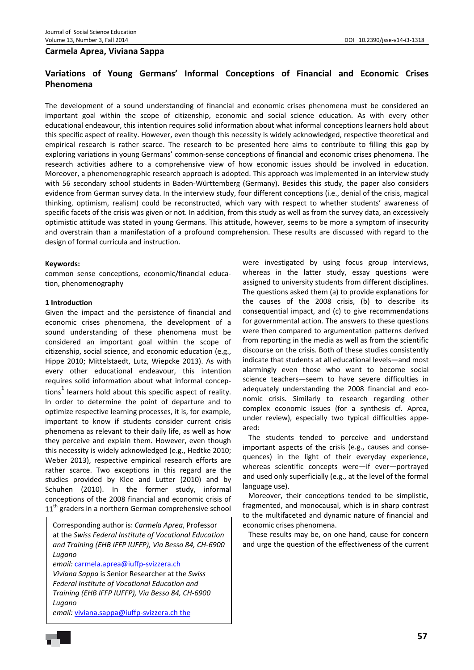### **Carmela Aprea, Viviana Sappa**

# **Variations of Young Germans' Informal Conceptions of Financial and Economic Crises Phenomena**

The development of a sound understanding of financial and economic crises phenomena must be considered an important goal within the scope of citizenship, economic and social science education. As with every other educational endeavour, this intention requires solid information about what informal conceptions learners hold about this specific aspect of reality. However, even though this necessity is widely acknowledged, respective theoretical and empirical research is rather scarce. The research to be presented here aims to contribute to filling this gap by exploring variations in young Germans' common‐sense conceptions of financial and economic crises phenomena. The research activities adhere to a comprehensive view of how economic issues should be involved in education. Moreover, a phenomenographic research approach is adopted. This approach was implemented in an interview study with 56 secondary school students in Baden-Württemberg (Germany). Besides this study, the paper also considers evidence from German survey data. In the interview study, four different conceptions (i.e., denial of the crisis, magical thinking, optimism, realism) could be reconstructed, which vary with respect to whether students' awareness of specific facets of the crisis was given or not. In addition, from this study as well as from the survey data, an excessively optimistic attitude was stated in young Germans. This attitude, however, seems to be more a symptom of insecurity and overstrain than a manifestation of a profound comprehension. These results are discussed with regard to the design of formal curricula and instruction.

#### **Keywords:**

common sense conceptions, economic/financial educa‐ tion, phenomenography

#### **1 Introduction**

Given the impact and the persistence of financial and economic crises phenomena, the development of a sound understanding of these phenomena must be considered an important goal within the scope of citizenship, social science, and economic education (e.g., Hippe 2010; Mittelstaedt, Lutz, Wiepcke 2013). As with every other educational endeavour, this intention requires solid information about what informal concep‐ tions<sup>1</sup> learners hold about this specific aspect of reality. In order to determine the point of departure and to optimize respective learning processes, it is, for example, important to know if students consider current crisis phenomena as relevant to their daily life, as well as how they perceive and explain them. However, even though this necessity is widely acknowledged (e.g., Hedtke 2010; Weber 2013), respective empirical research efforts are rather scarce. Two exceptions in this regard are the studies provided by Klee and Lutter (2010) and by Schuhen (2010). In the former study, informal conceptions of the 2008 financial and economic crisis of 11<sup>th</sup> graders in a northern German comprehensive school

Corresponding author is: *Carmela Aprea*, Professor at the *Swiss Federal Institute of Vocational Education and Training (EHB IFFP IUFFP), Via Besso 84, CH‐6900 Lugano*

*email:* carmela.aprea@iuffp‐svizzera.ch

*Viviana Sappa* is Senior Researcher at the *Swiss Federal Institute of Vocational Education and Training (EHB IFFP IUFFP), Via Besso 84, CH‐6900 Lugano*

*email:* viviana.sappa@iuffp‐svizzera.ch the

were investigated by using focus group interviews, whereas in the latter study, essay questions were assigned to university students from different disciplines. The questions asked them (a) to provide explanations for the causes of the 2008 crisis, (b) to describe its consequential impact, and (c) to give recommendations for governmental action. The answers to these questions were then compared to argumentation patterns derived from reporting in the media as well as from the scientific discourse on the crisis. Both of these studies consistently indicate that students at all educational levels—and most alarmingly even those who want to become social science teachers—seem to have severe difficulties in adequately understanding the 2008 financial and eco‐ nomic crisis. Similarly to research regarding other complex economic issues (for a synthesis cf. Aprea, under review), especially two typical difficulties appe‐ ared:

The students tended to perceive and understand important aspects of the crisis (e.g., causes and conse‐ quences) in the light of their everyday experience, whereas scientific concepts were—if ever—portrayed and used only superficially (e.g., at the level of the formal language use).

Moreover, their conceptions tended to be simplistic, fragmented, and monocausal, which is in sharp contrast to the multifaceted and dynamic nature of financial and economic crises phenomena.

These results may be, on one hand, cause for concern and urge the question of the effectiveness of the current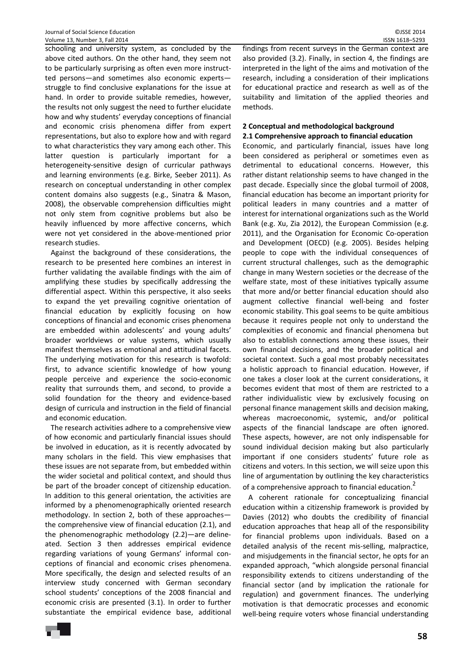schooling and university system, as concluded by the above cited authors. On the other hand, they seem not to be particularly surprising as often even more instruct‐ ted persons—and sometimes also economic experts struggle to find conclusive explanations for the issue at hand. In order to provide suitable remedies, however, the results not only suggest the need to further elucidate how and why students' everyday conceptions of financial and economic crisis phenomena differ from expert representations, but also to explore how and with regard to what characteristics they vary among each other. This latter question is particularly important for a heterogeneity‐sensitive design of curricular pathways and learning environments (e.g. Birke, Seeber 2011). As research on conceptual understanding in other complex content domains also suggests (e.g., Sinatra & Mason, 2008), the observable comprehension difficulties might not only stem from cognitive problems but also be heavily influenced by more affective concerns, which were not yet considered in the above-mentioned prior research studies.

Against the background of these considerations, the research to be presented here combines an interest in further validating the available findings with the aim of amplifying these studies by specifically addressing the differential aspect. Within this perspective, it also seeks to expand the yet prevailing cognitive orientation of financial education by explicitly focusing on how conceptions of financial and economic crises phenomena are embedded within adolescents' and young adults' broader worldviews or value systems, which usually manifest themselves as emotional and attitudinal facets. The underlying motivation for this research is twofold: first, to advance scientific knowledge of how young people perceive and experience the socio‐economic reality that surrounds them, and second, to provide a solid foundation for the theory and evidence‐based design of curricula and instruction in the field of financial and economic education.

The research activities adhere to a comprehensive view of how economic and particularly financial issues should be involved in education, as it is recently advocated by many scholars in the field. This view emphasises that these issues are not separate from, but embedded within the wider societal and political context, and should thus be part of the broader concept of citizenship education. In addition to this general orientation, the activities are informed by a phenomenographically oriented research methodology. In section 2, both of these approaches the comprehensive view of financial education (2.1), and the phenomenographic methodology (2.2)—are deline‐ ated. Section 3 then addresses empirical evidence regarding variations of young Germans' informal con‐ ceptions of financial and economic crises phenomena. More specifically, the design and selected results of an interview study concerned with German secondary school students' conceptions of the 2008 financial and economic crisis are presented (3.1). In order to further substantiate the empirical evidence base, additional findings from recent surveys in the German context are also provided (3.2). Finally, in section 4, the findings are interpreted in the light of the aims and motivation of the research, including a consideration of their implications for educational practice and research as well as of the suitability and limitation of the applied theories and methods.

### **2 Conceptual and methodological background 2.1 Comprehensive approach to financial education**

Economic, and particularly financial, issues have long been considered as peripheral or sometimes even as detrimental to educational concerns. However, this rather distant relationship seems to have changed in the past decade. Especially since the global turmoil of 2008, financial education has become an important priority for political leaders in many countries and a matter of interest for international organizations such as the World Bank (e.g. Xu, Zia 2012), the European Commission (e.g. 2011), and the Organisation for Economic Co‐operation and Development (OECD) (e.g. 2005). Besides helping people to cope with the individual consequences of current structural challenges, such as the demographic change in many Western societies or the decrease of the welfare state, most of these initiatives typically assume that more and/or better financial education should also augment collective financial well‐being and foster economic stability. This goal seems to be quite ambitious because it requires people not only to understand the complexities of economic and financial phenomena but also to establish connections among these issues, their own financial decisions, and the broader political and societal context. Such a goal most probably necessitates a holistic approach to financial education. However, if one takes a closer look at the current considerations, it becomes evident that most of them are restricted to a rather individualistic view by exclusively focusing on personal finance management skills and decision making, whereas macroeconomic, systemic, and/or political aspects of the financial landscape are often ignored. These aspects, however, are not only indispensable for sound individual decision making but also particularly important if one considers students' future role as citizens and voters. In this section, we will seize upon this line of argumentation by outlining the key characteristics of a comprehensive approach to financial education.<sup>2</sup>

A coherent rationale for conceptualizing financial education within a citizenship framework is provided by Davies (2012) who doubts the credibility of financial education approaches that heap all of the responsibility for financial problems upon individuals. Based on a detailed analysis of the recent mis‐selling, malpractice, and misjudgements in the financial sector, he opts for an expanded approach, "which alongside personal financial responsibility extends to citizens understanding of the financial sector (and by implication the rationale for regulation) and government finances. The underlying motivation is that democratic processes and economic well-being require voters whose financial understanding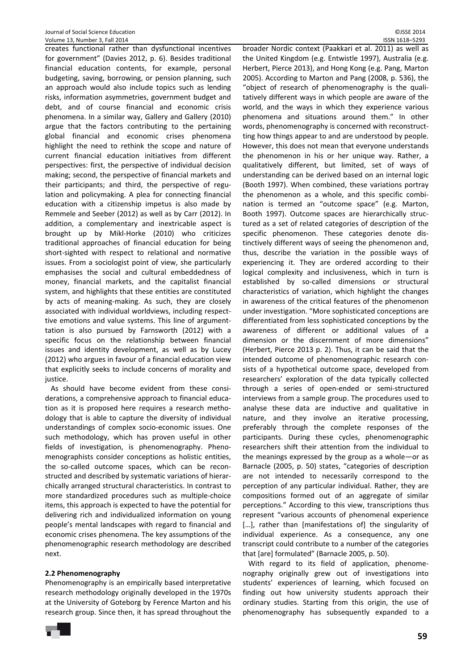creates functional rather than dysfunctional incentives for government" (Davies 2012, p. 6). Besides traditional financial education contents, for example, personal budgeting, saving, borrowing, or pension planning, such an approach would also include topics such as lending risks, information asymmetries, government budget and debt, and of course financial and economic crisis phenomena. In a similar way, Gallery and Gallery (2010) argue that the factors contributing to the pertaining global financial and economic crises phenomena highlight the need to rethink the scope and nature of current financial education initiatives from different perspectives: first, the perspective of individual decision making; second, the perspective of financial markets and their participants; and third, the perspective of regu‐ lation and policymaking. A plea for connecting financial education with a citizenship impetus is also made by Remmele and Seeber (2012) as well as by Carr (2012). In addition, a complementary and inextricable aspect is brought up by Mikl‐Horke (2010) who criticizes traditional approaches of financial education for being short-sighted with respect to relational and normative issues. From a sociologist point of view, she particularly emphasises the social and cultural embeddedness of money, financial markets, and the capitalist financial system, and highlights that these entities are constituted by acts of meaning‐making. As such, they are closely associated with individual worldviews, including respect‐ tive emotions and value systems. This line of argument‐ tation is also pursued by Farnsworth (2012) with a specific focus on the relationship between financial issues and identity development, as well as by Lucey (2012) who argues in favour of a financial education view that explicitly seeks to include concerns of morality and justice.

As should have become evident from these consi‐ derations, a comprehensive approach to financial educa‐ tion as it is proposed here requires a research metho‐ dology that is able to capture the diversity of individual understandings of complex socio‐economic issues. One such methodology, which has proven useful in other fields of investigation, is phenomenography. Pheno‐ menographists consider conceptions as holistic entities, the so-called outcome spaces, which can be reconstructed and described by systematic variations of hierar‐ chically arranged structural characteristics. In contrast to more standardized procedures such as multiple‐choice items, this approach is expected to have the potential for delivering rich and individualized information on young people's mental landscapes with regard to financial and economic crises phenomena. The key assumptions of the phenomenographic research methodology are described next.

### **2.2 Phenomenography**

Phenomenography is an empirically based interpretative research methodology originally developed in the 1970s at the University of Goteborg by Ference Marton and his research group. Since then, it has spread throughout the

broader Nordic context (Paakkari et al. 2011) as well as the United Kingdom (e.g. Entwistle 1997), Australia (e.g. Herbert, Pierce 2013), and Hong Kong (e.g. Pang, Marton 2005). According to Marton and Pang (2008, p. 536), the "object of research of phenomenography is the quali‐ tatively different ways in which people are aware of the world, and the ways in which they experience various phenomena and situations around them." In other words, phenomenography is concerned with reconstruct‐ ting how things appear to and are understood by people. However, this does not mean that everyone understands the phenomenon in his or her unique way. Rather, a qualitatively different, but limited, set of ways of understanding can be derived based on an internal logic (Booth 1997). When combined, these variations portray the phenomenon as a whole, and this specific combi‐ nation is termed an "outcome space" (e.g. Marton, Booth 1997). Outcome spaces are hierarchically struc‐ tured as a set of related categories of description of the specific phenomenon. These categories denote distinctively different ways of seeing the phenomenon and, thus, describe the variation in the possible ways of experiencing it. They are ordered according to their logical complexity and inclusiveness, which in turn is established by so‐called dimensions or structural characteristics of variation, which highlight the changes in awareness of the critical features of the phenomenon under investigation. "More sophisticated conceptions are differentiated from less sophisticated conceptions by the awareness of different or additional values of a dimension or the discernment of more dimensions" (Herbert, Pierce 2013 p. 2). Thus, it can be said that the intended outcome of phenomenographic research con‐ sists of a hypothetical outcome space, developed from researchers' exploration of the data typically collected through a series of open‐ended or semi‐structured interviews from a sample group. The procedures used to analyse these data are inductive and qualitative in nature, and they involve an iterative processing, preferably through the complete responses of the participants. During these cycles, phenomenographic researchers shift their attention from the individual to the meanings expressed by the group as a whole—or as Barnacle (2005, p. 50) states, "categories of description are not intended to necessarily correspond to the perception of any particular individual. Rather, they are compositions formed out of an aggregate of similar perceptions." According to this view, transcriptions thus represent "various accounts of phenomenal experience [...], rather than [manifestations of] the singularity of individual experience. As a consequence, any one transcript could contribute to a number of the categories that [are] formulated" (Barnacle 2005, p. 50).

With regard to its field of application, phenome‐ nography originally grew out of investigations into students' experiences of learning, which focused on finding out how university students approach their ordinary studies. Starting from this origin, the use of phenomenography has subsequently expanded to a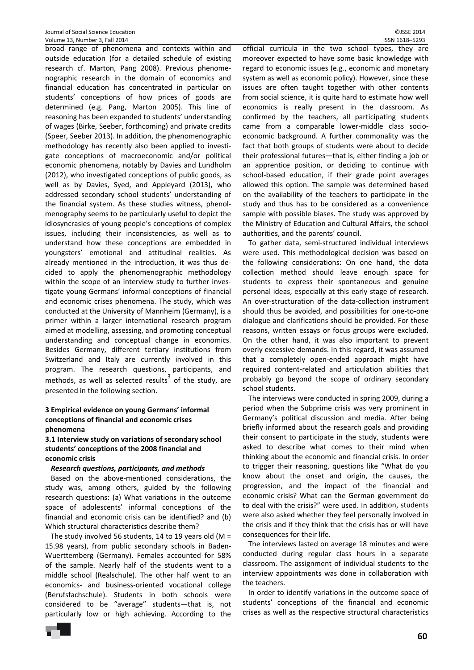broad range of phenomena and contexts within and outside education (for a detailed schedule of existing research cf. Marton, Pang 2008). Previous phenome‐ nographic research in the domain of economics and financial education has concentrated in particular on students' conceptions of how prices of goods are determined (e.g. Pang, Marton 2005). This line of reasoning has been expanded to students' understanding of wages (Birke, Seeber, forthcoming) and private credits (Speer, Seeber 2013). In addition, the phenomenographic methodology has recently also been applied to investi‐ gate conceptions of macroeconomic and/or political economic phenomena, notably by Davies and Lundholm (2012), who investigated conceptions of public goods, as well as by Davies, Syed, and Appleyard (2013), who addressed secondary school students' understanding of the financial system. As these studies witness, phenol‐ menography seems to be particularly useful to depict the idiosyncrasies of young people's conceptions of complex issues, including their inconsistencies, as well as to understand how these conceptions are embedded in youngsters' emotional and attitudinal realities. As already mentioned in the introduction, it was thus de‐ cided to apply the phenomenographic methodology within the scope of an interview study to further investigate young Germans' informal conceptions of financial and economic crises phenomena. The study, which was conducted at the University of Mannheim (Germany), is a primer within a larger international research program aimed at modelling, assessing, and promoting conceptual understanding and conceptual change in economics. Besides Germany, different tertiary institutions from Switzerland and Italy are currently involved in this program. The research questions, participants, and methods, as well as selected results<sup>3</sup> of the study, are presented in the following section.

### **3 Empirical evidence on young Germans' informal conceptions of financial and economic crises phenomena**

**3.1 Interview study on variations of secondary school students' conceptions of the 2008 financial and economic crisis**

#### *Research questions, participants, and methods*

Based on the above‐mentioned considerations, the study was, among others, guided by the following research questions: (a) What variations in the outcome space of adolescents' informal conceptions of the financial and economic crisis can be identified? and (b) Which structural characteristics describe them?

The study involved 56 students, 14 to 19 years old (M = 15.98 years), from public secondary schools in Baden‐ Wuerttemberg (Germany). Females accounted for 58% of the sample. Nearly half of the students went to a middle school (Realschule). The other half went to an economics‐ and business‐oriented vocational college (Berufsfachschule). Students in both schools were considered to be "average" students—that is, not particularly low or high achieving. According to the

official curricula in the two school types, they are moreover expected to have some basic knowledge with regard to economic issues (e.g., economic and monetary system as well as economic policy). However, since these issues are often taught together with other contents from social science, it is quite hard to estimate how well economics is really present in the classroom. As confirmed by the teachers, all participating students came from a comparable lower‐middle class socio‐ economic background. A further commonality was the fact that both groups of students were about to decide their professional futures—that is, either finding a job or an apprentice position, or deciding to continue with school‐based education, if their grade point averages allowed this option. The sample was determined based on the availability of the teachers to participate in the study and thus has to be considered as a convenience sample with possible biases. The study was approved by the Ministry of Education and Cultural Affairs, the school authorities, and the parents' council.

To gather data, semi‐structured individual interviews were used. This methodological decision was based on the following considerations: On one hand, the data collection method should leave enough space for students to express their spontaneous and genuine personal ideas, especially at this early stage of research. An over‐structuration of the data‐collection instrument should thus be avoided, and possibilities for one‐to‐one dialogue and clarifications should be provided. For these reasons, written essays or focus groups were excluded. On the other hand, it was also important to prevent overly excessive demands. In this regard, it was assumed that a completely open‐ended approach might have required content‐related and articulation abilities that probably go beyond the scope of ordinary secondary school students.

The interviews were conducted in spring 2009, during a period when the Subprime crisis was very prominent in Germany's political discussion and media. After being briefly informed about the research goals and providing their consent to participate in the study, students were asked to describe what comes to their mind when thinking about the economic and financial crisis. In order to trigger their reasoning, questions like "What do you know about the onset and origin, the causes, the progression, and the impact of the financial and economic crisis? What can the German government do to deal with the crisis?" were used. In addition, students were also asked whether they feel personally involved in the crisis and if they think that the crisis has or will have consequences for their life.

The interviews lasted on average 18 minutes and were conducted during regular class hours in a separate classroom. The assignment of individual students to the interview appointments was done in collaboration with the teachers.

In order to identify variations in the outcome space of students' conceptions of the financial and economic crises as well as the respective structural characteristics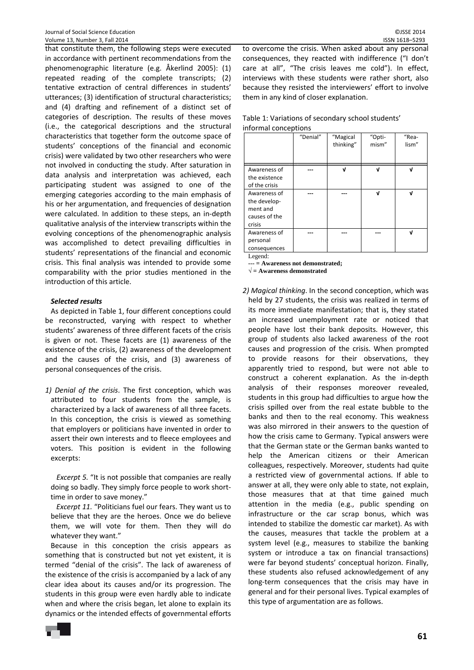that constitute them, the following steps were executed in accordance with pertinent recommendations from the phenomenographic literature (e.g. Åkerlind 2005): (1) repeated reading of the complete transcripts; (2) tentative extraction of central differences in students' utterances; (3) identification of structural characteristics; and (4) drafting and refinement of a distinct set of categories of description. The results of these moves (i.e., the categorical descriptions and the structural characteristics that together form the outcome space of students' conceptions of the financial and economic crisis) were validated by two other researchers who were not involved in conducting the study. After saturation in data analysis and interpretation was achieved, each participating student was assigned to one of the emerging categories according to the main emphasis of his or her argumentation, and frequencies of designation were calculated. In addition to these steps, an in‐depth qualitative analysis of the interview transcripts within the evolving conceptions of the phenomenographic analysis was accomplished to detect prevailing difficulties in students' representations of the financial and economic crisis. This final analysis was intended to provide some comparability with the prior studies mentioned in the introduction of this article.

### *Selected results*

As depicted in Table 1, four different conceptions could be reconstructed, varying with respect to whether students' awareness of three different facets of the crisis is given or not. These facets are (1) awareness of the existence of the crisis, (2) awareness of the development and the causes of the crisis, and (3) awareness of personal consequences of the crisis.

*1) Denial of the crisis*. The first conception, which was attributed to four students from the sample, is characterized by a lack of awareness of all three facets. In this conception, the crisis is viewed as something that employers or politicians have invented in order to assert their own interests and to fleece employees and voters. This position is evident in the following excerpts:

*Excerpt 5.* "It is not possible that companies are really doing so badly. They simply force people to work short‐ time in order to save money."

*Excerpt 11.* "Politicians fuel our fears. They want us to believe that they are the heroes. Once we do believe them, we will vote for them. Then they will do whatever they want."

Because in this conception the crisis appears as something that is constructed but not yet existent, it is termed "denial of the crisis". The lack of awareness of the existence of the crisis is accompanied by a lack of any clear idea about its causes and/or its progression. The students in this group were even hardly able to indicate when and where the crisis began, let alone to explain its dynamics or the intended effects of governmental efforts to overcome the crisis. When asked about any personal consequences, they reacted with indifference ("I don't care at all", "The crisis leaves me cold"). In effect, interviews with these students were rather short, also because they resisted the interviewers' effort to involve them in any kind of closer explanation.

| Table 1: Variations of secondary school students' |
|---------------------------------------------------|
| informal conceptions                              |

|                                                                     | "Denial" | "Magical<br>thinking" | "Opti-<br>mism" | "Rea-<br>lism" |
|---------------------------------------------------------------------|----------|-----------------------|-----------------|----------------|
| Awareness of<br>the existence<br>of the crisis                      |          | ν                     | V               | V              |
| Awareness of<br>the develop-<br>ment and<br>causes of the<br>crisis |          |                       | V               | V              |
| Awareness of<br>personal<br>consequences<br>Legend:                 |          |                       |                 | V              |

**--- = Awareness not demonstrated;** 

**√ = Awareness demonstrated** 

*2) Magical thinking*. In the second conception, which was held by 27 students, the crisis was realized in terms of its more immediate manifestation; that is, they stated an increased unemployment rate or noticed that people have lost their bank deposits. However, this group of students also lacked awareness of the root causes and progression of the crisis. When prompted to provide reasons for their observations, they apparently tried to respond, but were not able to construct a coherent explanation. As the in‐depth analysis of their responses moreover revealed, students in this group had difficulties to argue how the crisis spilled over from the real estate bubble to the banks and then to the real economy. This weakness was also mirrored in their answers to the question of how the crisis came to Germany. Typical answers were that the German state or the German banks wanted to help the American citizens or their American colleagues, respectively. Moreover, students had quite a restricted view of governmental actions. If able to answer at all, they were only able to state, not explain, those measures that at that time gained much attention in the media (e.g., public spending on infrastructure or the car scrap bonus, which was intended to stabilize the domestic car market). As with the causes, measures that tackle the problem at a system level (e.g., measures to stabilize the banking system or introduce a tax on financial transactions) were far beyond students' conceptual horizon. Finally, these students also refused acknowledgement of any long‐term consequences that the crisis may have in general and for their personal lives. Typical examples of this type of argumentation are as follows.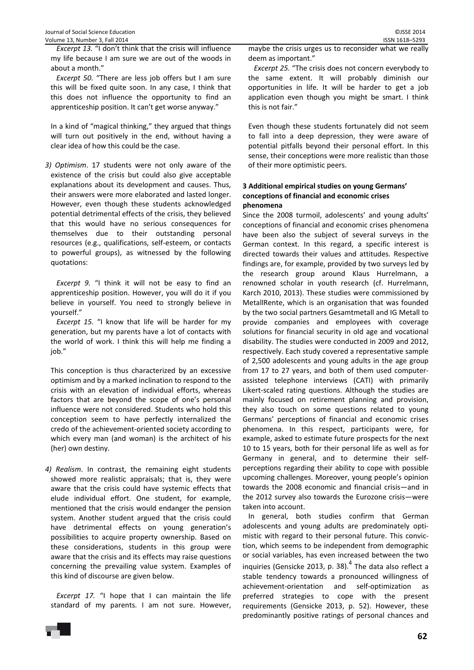*Excerpt 13.* "I don't think that the crisis will influence my life because I am sure we are out of the woods in about a month."

*Excerpt 50.* "There are less job offers but I am sure this will be fixed quite soon. In any case, I think that this does not influence the opportunity to find an apprenticeship position. It can't get worse anyway."

In a kind of "magical thinking," they argued that things will turn out positively in the end, without having a clear idea of how this could be the case.

*3) Optimism*. 17 students were not only aware of the existence of the crisis but could also give acceptable explanations about its development and causes. Thus, their answers were more elaborated and lasted longer. However, even though these students acknowledged potential detrimental effects of the crisis, they believed that this would have no serious consequences for themselves due to their outstanding personal resources (e.g., qualifications, self‐esteem, or contacts to powerful groups), as witnessed by the following quotations:

*Excerpt 9.* "I think it will not be easy to find an apprenticeship position. However, you will do it if you believe in yourself. You need to strongly believe in yourself."

*Excerpt 15.* "I know that life will be harder for my generation, but my parents have a lot of contacts with the world of work. I think this will help me finding a job."

This conception is thus characterized by an excessive optimism and by a marked inclination to respond to the crisis with an elevation of individual efforts, whereas factors that are beyond the scope of one's personal influence were not considered. Students who hold this conception seem to have perfectly internalized the credo of the achievement‐oriented society according to which every man (and woman) is the architect of his (her) own destiny.

*4) Realism*. In contrast, the remaining eight students showed more realistic appraisals; that is, they were aware that the crisis could have systemic effects that elude individual effort. One student, for example, mentioned that the crisis would endanger the pension system. Another student argued that the crisis could have detrimental effects on young generation's possibilities to acquire property ownership. Based on these considerations, students in this group were aware that the crisis and its effects may raise questions concerning the prevailing value system. Examples of this kind of discourse are given below.

*Excerpt 17.* "I hope that I can maintain the life standard of my parents. I am not sure. However,

maybe the crisis urges us to reconsider what we really deem as important."

*Excerpt 25.* "The crisis does not concern everybody to the same extent. It will probably diminish our opportunities in life. It will be harder to get a job application even though you might be smart. I think this is not fair."

Even though these students fortunately did not seem to fall into a deep depression, they were aware of potential pitfalls beyond their personal effort. In this sense, their conceptions were more realistic than those of their more optimistic peers.

## **3 Additional empirical studies on young Germans' conceptions of financial and economic crises phenomena**

Since the 2008 turmoil, adolescents' and young adults' conceptions of financial and economic crises phenomena have been also the subject of several surveys in the German context. In this regard, a specific interest is directed towards their values and attitudes. Respective findings are, for example, provided by two surveys led by the research group around Klaus Hurrelmann, a renowned scholar in youth research (cf. Hurrelmann, Karch 2010, 2013). These studies were commissioned by MetallRente, which is an organisation that was founded by the two social partners Gesamtmetall and IG Metall to provide companies and employees with coverage solutions for financial security in old age and vocational disability. The studies were conducted in 2009 and 2012, respectively. Each study covered a representative sample of 2,500 adolescents and young adults in the age group from 17 to 27 years, and both of them used computer‐ assisted telephone interviews (CATI) with primarily Likert-scaled rating questions. Although the studies are mainly focused on retirement planning and provision, they also touch on some questions related to young Germans' perceptions of financial and economic crises phenomena. In this respect, participants were, for example, asked to estimate future prospects for the next 10 to 15 years, both for their personal life as well as for Germany in general, and to determine their self‐ perceptions regarding their ability to cope with possible upcoming challenges. Moreover, young people's opinion towards the 2008 economic and financial crisis—and in the 2012 survey also towards the Eurozone crisis—were taken into account.

In general, both studies confirm that German adolescents and young adults are predominately opti‐ mistic with regard to their personal future. This convic‐ tion, which seems to be independent from demographic or social variables, has even increased between the two inquiries (Gensicke 2013, p. 38). $<sup>4</sup>$  The data also reflect a</sup> stable tendency towards a pronounced willingness of achievement‐orientation and self‐optimization as preferred strategies to cope with the present requirements (Gensicke 2013, p. 52). However, these predominantly positive ratings of personal chances and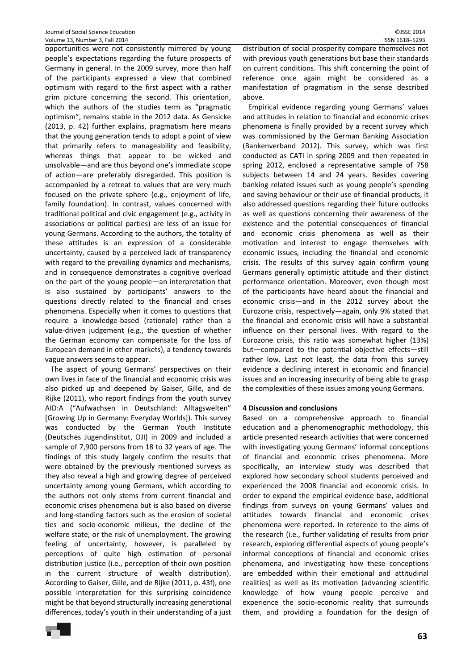opportunities were not consistently mirrored by young people's expectations regarding the future prospects of Germany in general. In the 2009 survey, more than half of the participants expressed a view that combined optimism with regard to the first aspect with a rather grim picture concerning the second. This orientation, which the authors of the studies term as "pragmatic optimism", remains stable in the 2012 data. As Gensicke (2013, p. 42) further explains, pragmatism here means that the young generation tends to adopt a point of view that primarily refers to manageability and feasibility, whereas things that appear to be wicked and unsolvable—and are thus beyond one's immediate scope of action—are preferably disregarded. This position is accompanied by a retreat to values that are very much focused on the private sphere (e.g., enjoyment of life, family foundation). In contrast, values concerned with traditional political and civic engagement (e.g., activity in associations or political parties) are less of an issue for young Germans. According to the authors, the totality of these attitudes is an expression of a considerable uncertainty, caused by a perceived lack of transparency with regard to the prevailing dynamics and mechanisms, and in consequence demonstrates a cognitive overload on the part of the young people—an interpretation that is also sustained by participants' answers to the questions directly related to the financial and crises phenomena. Especially when it comes to questions that require a knowledge‐based (rationale) rather than a value‐driven judgement (e.g., the question of whether the German economy can compensate for the loss of European demand in other markets), a tendency towards vague answers seems to appear.

The aspect of young Germans' perspectives on their own lives in face of the financial and economic crisis was also picked up and deepened by Gaiser, Gille, and de Rijke (2011), who report findings from the youth survey AID:A ("Aufwachsen in Deutschland: Alltagswelten" [Growing Up in Germany: Everyday Worlds]). This survey was conducted by the German Youth Institute (Deutsches Jugendinstitut, DJI) in 2009 and included a sample of 7,900 persons from 18 to 32 years of age. The findings of this study largely confirm the results that were obtained by the previously mentioned surveys as they also reveal a high and growing degree of perceived uncertainty among young Germans, which according to the authors not only stems from current financial and economic crises phenomena but is also based on diverse and long‐standing factors such as the erosion of societal ties and socio‐economic milieus, the decline of the welfare state, or the risk of unemployment. The growing feeling of uncertainty, however, is paralleled by perceptions of quite high estimation of personal distribution justice (i.e., perception of their own position in the current structure of wealth distribution). According to Gaiser, Gille, and de Rijke (2011, p. 43f), one possible interpretation for this surprising coincidence might be that beyond structurally increasing generational differences, today's youth in their understanding of a just distribution of social prosperity compare themselves not with previous youth generations but base their standards on current conditions. This shift concerning the point of reference once again might be considered as a manifestation of pragmatism in the sense described above.

Empirical evidence regarding young Germans' values and attitudes in relation to financial and economic crises phenomena is finally provided by a recent survey which was commissioned by the German Banking Association (Bankenverband 2012). This survey, which was first conducted as CATI in spring 2009 and then repeated in spring 2012, enclosed a representative sample of 758 subjects between 14 and 24 years. Besides covering banking related issues such as young people's spending and saving behaviour or their use of financial products, it also addressed questions regarding their future outlooks as well as questions concerning their awareness of the existence and the potential consequences of financial and economic crisis phenomena as well as their motivation and interest to engage themselves with economic issues, including the financial and economic crisis. The results of this survey again confirm young Germans generally optimistic attitude and their distinct performance orientation. Moreover, even though most of the participants have heard about the financial and economic crisis—and in the 2012 survey about the Eurozone crisis, respectively—again, only 9% stated that the financial and economic crisis will have a substantial influence on their personal lives. With regard to the Eurozone crisis, this ratio was somewhat higher (13%) but—compared to the potential objective effects—still rather low. Last not least, the data from this survey evidence a declining interest in economic and financial issues and an increasing insecurity of being able to grasp the complexities of these issues among young Germans.

### **4 Discussion and conclusions**

Based on a comprehensive approach to financial education and a phenomenographic methodology, this article presented research activities that were concerned with investigating young Germans' informal conceptions of financial and economic crises phenomena. More specifically, an interview study was described that explored how secondary school students perceived and experienced the 2008 financial and economic crisis. In order to expand the empirical evidence base, additional findings from surveys on young Germans' values and attitudes towards financial and economic crises phenomena were reported. In reference to the aims of the research (i.e., further validating of results from prior research, exploring differential aspects of young people's informal conceptions of financial and economic crises phenomena, and investigating how these conceptions are embedded within their emotional and attitudinal realities) as well as its motivation (advancing scientific knowledge of how young people perceive and experience the socio‐economic reality that surrounds them, and providing a foundation for the design of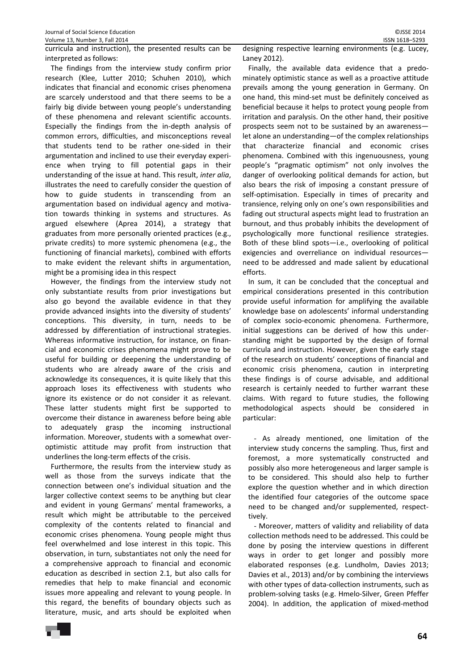The findings from the interview study confirm prior research (Klee, Lutter 2010; Schuhen 2010), which indicates that financial and economic crises phenomena are scarcely understood and that there seems to be a fairly big divide between young people's understanding of these phenomena and relevant scientific accounts. Especially the findings from the in‐depth analysis of common errors, difficulties, and misconceptions reveal that students tend to be rather one‐sided in their argumentation and inclined to use their everyday experi‐ ence when trying to fill potential gaps in their understanding of the issue at hand. This result, *inter alia*, illustrates the need to carefully consider the question of how to guide students in transcending from an argumentation based on individual agency and motiva‐ tion towards thinking in systems and structures. As argued elsewhere (Aprea 2014), a strategy that graduates from more personally oriented practices (e.g., private credits) to more systemic phenomena (e.g., the functioning of financial markets), combined with efforts to make evident the relevant shifts in argumentation, might be a promising idea in this respect

However, the findings from the interview study not only substantiate results from prior investigations but also go beyond the available evidence in that they provide advanced insights into the diversity of students' conceptions. This diversity, in turn, needs to be addressed by differentiation of instructional strategies. Whereas informative instruction, for instance, on finan‐ cial and economic crises phenomena might prove to be useful for building or deepening the understanding of students who are already aware of the crisis and acknowledge its consequences, it is quite likely that this approach loses its effectiveness with students who ignore its existence or do not consider it as relevant. These latter students might first be supported to overcome their distance in awareness before being able to adequately grasp the incoming instructional information. Moreover, students with a somewhat over‐ optimistic attitude may profit from instruction that underlines the long‐term effects of the crisis.

Furthermore, the results from the interview study as well as those from the surveys indicate that the connection between one's individual situation and the larger collective context seems to be anything but clear and evident in young Germans' mental frameworks, a result which might be attributable to the perceived complexity of the contents related to financial and economic crises phenomena. Young people might thus feel overwhelmed and lose interest in this topic. This observation, in turn, substantiates not only the need for a comprehensive approach to financial and economic education as described in section 2.1, but also calls for remedies that help to make financial and economic issues more appealing and relevant to young people. In this regard, the benefits of boundary objects such as literature, music, and arts should be exploited when designing respective learning environments (e.g. Lucey, Laney 2012).

Finally, the available data evidence that a predo‐ minately optimistic stance as well as a proactive attitude prevails among the young generation in Germany. On one hand, this mind‐set must be definitely conceived as beneficial because it helps to protect young people from irritation and paralysis. On the other hand, their positive prospects seem not to be sustained by an awareness let alone an understanding—of the complex relationships that characterize financial and economic crises phenomena. Combined with this ingenuousness, young people's "pragmatic optimism" not only involves the danger of overlooking political demands for action, but also bears the risk of imposing a constant pressure of self-optimisation. Especially in times of precarity and transience, relying only on one's own responsibilities and fading out structural aspects might lead to frustration an burnout, and thus probably inhibits the development of psychologically more functional resilience strategies. Both of these blind spots—i.e., overlooking of political exigencies and overreliance on individual resources need to be addressed and made salient by educational efforts.

In sum, it can be concluded that the conceptual and empirical considerations presented in this contribution provide useful information for amplifying the available knowledge base on adolescents' informal understanding of complex socio‐economic phenomena. Furthermore, initial suggestions can be derived of how this under‐ standing might be supported by the design of formal curricula and instruction. However, given the early stage of the research on students' conceptions of financial and economic crisis phenomena, caution in interpreting these findings is of course advisable, and additional research is certainly needed to further warrant these claims. With regard to future studies, the following methodological aspects should be considered in particular:

‐ As already mentioned, one limitation of the interview study concerns the sampling. Thus, first and foremost, a more systematically constructed and possibly also more heterogeneous and larger sample is to be considered. This should also help to further explore the question whether and in which direction the identified four categories of the outcome space need to be changed and/or supplemented, respect‐ tively.

‐ Moreover, matters of validity and reliability of data collection methods need to be addressed. This could be done by posing the interview questions in different ways in order to get longer and possibly more elaborated responses (e.g. Lundholm, Davies 2013; Davies et al., 2013) and/or by combining the interviews with other types of data-collection instruments, such as problem‐solving tasks (e.g. Hmelo‐Silver, Green Pfeffer 2004). In addition, the application of mixed-method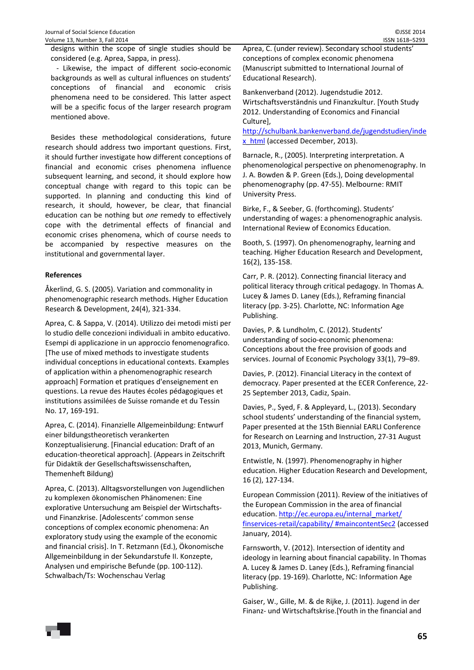designs within the scope of single studies should be considered (e.g. Aprea, Sappa, in press).

‐ Likewise, the impact of different socio‐economic backgrounds as well as cultural influences on students' conceptions of financial and economic crisis phenomena need to be considered. This latter aspect will be a specific focus of the larger research program mentioned above.

Besides these methodological considerations, future research should address two important questions. First, it should further investigate how different conceptions of financial and economic crises phenomena influence subsequent learning, and second, it should explore how conceptual change with regard to this topic can be supported. In planning and conducting this kind of research, it should, however, be clear, that financial education can be nothing but *one* remedy to effectively cope with the detrimental effects of financial and economic crises phenomena, which of course needs to be accompanied by respective measures on the institutional and governmental layer.

### **References**

Åkerlind, G. S. (2005). Variation and commonality in phenomenographic research methods. Higher Education Research & Development, 24(4), 321‐334.

Aprea, C. & Sappa, V. (2014). Utilizzo dei metodi misti per lo studio delle concezioni individuali in ambito educativo. Esempi di applicazione in un approccio fenomenografico. [The use of mixed methods to investigate students individual conceptions in educational contexts. Examples of application within a phenomenographic research approach] Formation et pratiques d'enseignement en questions. La revue des Hautes écoles pédagogiques et institutions assimilées de Suisse romande et du Tessin No. 17, 169‐191.

Aprea, C. (2014). Finanzielle Allgemeinbildung: Entwurf einer bildungstheoretisch verankerten Konzeptualisierung. [Financial education: Draft of an education‐theoretical approach]. (Appears in Zeitschrift für Didaktik der Gesellschaftswissenschaften, Themenheft Bildung)

Aprea, C. (2013). Alltagsvorstellungen von Jugendlichen zu komplexen ökonomischen Phänomenen: Eine explorative Untersuchung am Beispiel der Wirtschafts‐ und Finanzkrise. [Adolescents' common sense conceptions of complex economic phenomena: An exploratory study using the example of the economic and financial crisis]. In T. Retzmann (Ed.), Ökonomische Allgemeinbildung in der Sekundarstufe II. Konzepte, Analysen und empirische Befunde (pp. 100‐112). Schwalbach/Ts: Wochenschau Verlag

Aprea, C. (under review). Secondary school students' conceptions of complex economic phenomena (Manuscript submitted to International Journal of Educational Research).

Bankenverband (2012). Jugendstudie 2012. Wirtschaftsverständnis und Finanzkultur. [Youth Study 2012. Understanding of Economics and Financial Culture],

http://schulbank.bankenverband.de/jugendstudien/inde x html (accessed December, 2013).

Barnacle, R., (2005). Interpreting interpretation. A phenomenological perspective on phenomenography. In J. A. Bowden & P. Green (Eds.), Doing developmental phenomenography (pp. 47‐55). Melbourne: RMIT University Press.

Birke, F., & Seeber, G. (forthcoming). Students' understanding of wages: a phenomenographic analysis. International Review of Economics Education.

Booth, S. (1997). On phenomenography, learning and teaching. Higher Education Research and Development, 16(2), 135‐158.

Carr, P. R. (2012). Connecting financial literacy and political literacy through critical pedagogy. In Thomas A. Lucey & James D. Laney (Eds.), Reframing financial literacy (pp. 3‐25). Charlotte, NC: Information Age Publishing.

Davies, P. & Lundholm, C. (2012). Students' understanding of socio‐economic phenomena: Conceptions about the free provision of goods and services. Journal of Economic Psychology 33(1), 79–89.

Davies, P. (2012). Financial Literacy in the context of democracy. Paper presented at the ECER Conference, 22‐ 25 September 2013, Cadiz, Spain.

Davies, P., Syed, F. & Appleyard, L., (2013). Secondary school students' understanding of the financial system, Paper presented at the 15th Biennial EARLI Conference for Research on Learning and Instruction, 27‐31 August 2013, Munich, Germany.

Entwistle, N. (1997). Phenomenography in higher education. Higher Education Research and Development, 16 (2), 127‐134.

European Commission (2011). Review of the initiatives of the European Commission in the area of financial education. http://ec.europa.eu/internal\_market/ finservices‐retail/capability/ #maincontentSec2 (accessed January, 2014).

Farnsworth, V. (2012). Intersection of identity and ideology in learning about financial capability. In Thomas A. Lucey & James D. Laney (Eds.), Reframing financial literacy (pp. 19‐169). Charlotte, NC: Information Age Publishing.

Gaiser, W., Gille, M. & de Rijke, J. (2011). Jugend in der Finanz‐ und Wirtschaftskrise.[Youth in the financial and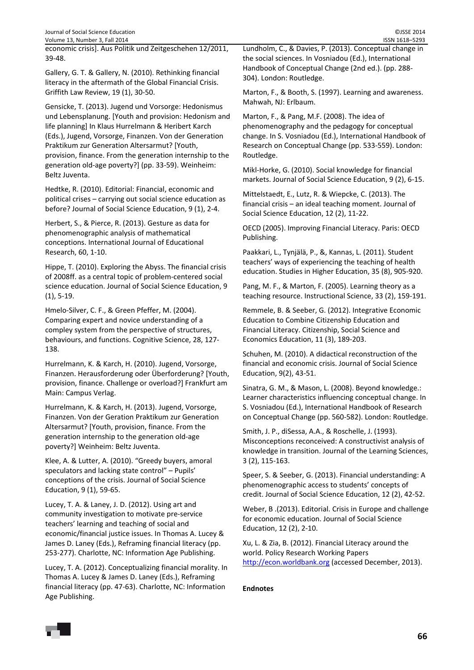| Journal of Social Science Education                      | ©JSSE 2014                                              |
|----------------------------------------------------------|---------------------------------------------------------|
| Volume 13, Number 3, Fall 2014                           | ISSN 1618-5293                                          |
| economic crisis]. Aus Politik und Zeitgeschehen 12/2011, | Lundholm, C., & Davies, P. (2013). Conceptual change in |
| $39-48$                                                  | the social sciences. In Vosniadou (Ed.), International  |

Gallery, G. T. & Gallery, N. (2010). Rethinking financial literacy in the aftermath of the Global Financial Crisis. Griffith Law Review, 19 (1), 30‐50.

Gensicke, T. (2013). Jugend und Vorsorge: Hedonismus und Lebensplanung. [Youth and provision: Hedonism and life planning] In Klaus Hurrelmann & Heribert Karch (Eds.), Jugend, Vorsorge, Finanzen. Von der Generation Praktikum zur Generation Altersarmut? [Youth, provision, finance. From the generation internship to the generation old‐age poverty?] (pp. 33‐59). Weinheim: Beltz Juventa.

Hedtke, R. (2010). Editorial: Financial, economic and political crises – carrying out social science education as before? Journal of Social Science Education, 9 (1), 2‐4.

Herbert, S., & Pierce, R. (2013). Gesture as data for phenomenographic analysis of mathematical conceptions. International Journal of Educational Research, 60, 1‐10.

Hippe, T. (2010). Exploring the Abyss. The financial crisis of 2008ff. as a central topic of problem‐centered social science education. Journal of Social Science Education, 9 (1), 5‐19.

Hmelo‐Silver, C. F., & Green Pfeffer, M. (2004). Comparing expert and novice understanding of a compley system from the perspective of structures, behaviours, and functions. Cognitive Science, 28, 127‐ 138.

Hurrelmann, K. & Karch, H. (2010). Jugend, Vorsorge, Finanzen. Herausforderung oder Überforderung? [Youth, provision, finance. Challenge or overload?] Frankfurt am Main: Campus Verlag.

Hurrelmann, K. & Karch, H. (2013). Jugend, Vorsorge, Finanzen. Von der Geration Praktikum zur Generation Altersarmut? [Youth, provision, finance. From the generation internship to the generation old‐age poverty?] Weinheim: Beltz Juventa.

Klee, A. & Lutter, A. (2010). "Greedy buyers, amoral speculators and lacking state control" – Pupils' conceptions of the crisis. Journal of Social Science Education, 9 (1), 59‐65.

Lucey, T. A. & Laney, J. D. (2012). Using art and community investigation to motivate pre‐service teachers' learning and teaching of social and economic/financial justice issues. In Thomas A. Lucey & James D. Laney (Eds.), Reframing financial literacy (pp. 253‐277). Charlotte, NC: Information Age Publishing.

Lucey, T. A. (2012). Conceptualizing financial morality. In Thomas A. Lucey & James D. Laney (Eds.), Reframing financial literacy (pp. 47‐63). Charlotte, NC: Information Age Publishing.

change in the social sciences. In Vosniadou (Ed.), International Handbook of Conceptual Change (2nd ed.). (pp. 288‐ 304). London: Routledge.

Marton, F., & Booth, S. (1997). Learning and awareness. Mahwah, NJ: Erlbaum.

Marton, F., & Pang, M.F. (2008). The idea of phenomenography and the pedagogy for conceptual change. In S. Vosniadou (Ed.), International Handbook of Research on Conceptual Change (pp. 533‐559). London: Routledge.

Mikl‐Horke, G. (2010). Social knowledge for financial markets. Journal of Social Science Education, 9 (2), 6‐15.

Mittelstaedt, E., Lutz, R. & Wiepcke, C. (2013). The financial crisis – an ideal teaching moment. Journal of Social Science Education, 12 (2), 11‐22.

OECD (2005). Improving Financial Literacy. Paris: OECD Publishing.

Paakkari, L., Tynjälä, P., &, Kannas, L. (2011). Student teachers' ways of experiencing the teaching of health education. Studies in Higher Education, 35 (8), 905‐920.

Pang, M. F., & Marton, F. (2005). Learning theory as a teaching resource. Instructional Science, 33 (2), 159‐191.

Remmele, B. & Seeber, G. (2012). Integrative Economic Education to Combine Citizenship Education and Financial Literacy. Citizenship, Social Science and Economics Education, 11 (3), 189‐203.

Schuhen, M. (2010). A didactical reconstruction of the financial and economic crisis. Journal of Social Science Education, 9(2), 43‐51.

Sinatra, G. M., & Mason, L. (2008). Beyond knowledge.: Learner characteristics influencing conceptual change. In S. Vosniadou (Ed.), International Handbook of Research on Conceptual Change (pp. 560‐582). London: Routledge.

Smith, J. P., diSessa, A.A., & Roschelle, J. (1993). Misconceptions reconceived: A constructivist analysis of knowledge in transition. Journal of the Learning Sciences, 3 (2), 115‐163.

Speer, S. & Seeber, G. (2013). Financial understanding: A phenomenographic access to students' concepts of credit. Journal of Social Science Education, 12 (2), 42‐52.

Weber, B .(2013). Editorial. Crisis in Europe and challenge for economic education. Journal of Social Science Education, 12 (2), 2‐10.

Xu, L. & Zia, B. (2012). Financial Literacy around the world. Policy Research Working Papers http://econ.worldbank.org (accessed December, 2013).

### **Endnotes**